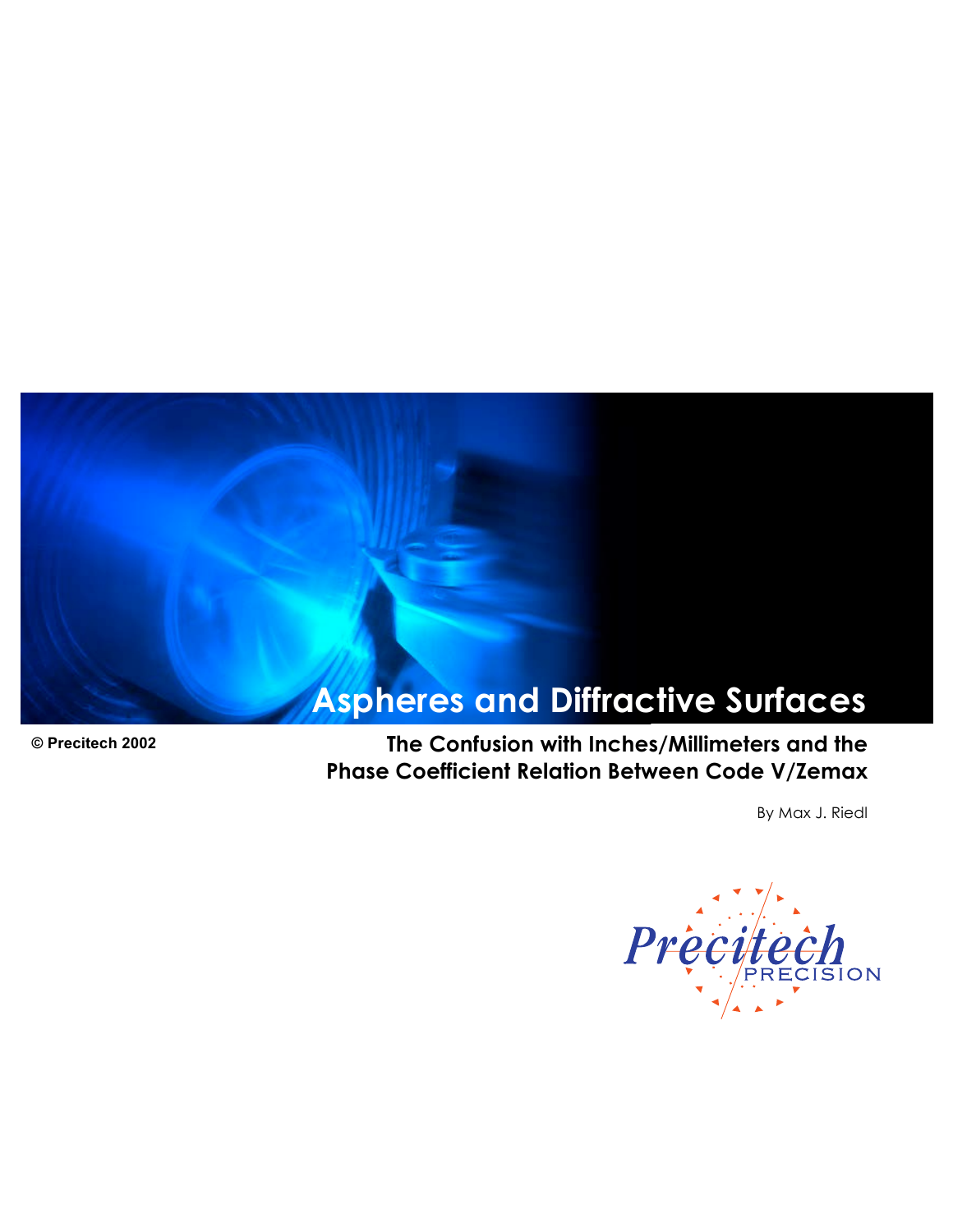# **Aspheres and Diffractive Surfaces**

**© Precitech 2002 The Confusion with Inches/Millimeters and the Phase Coefficient Relation Between Code V/Zemax**

By Max J. Riedl

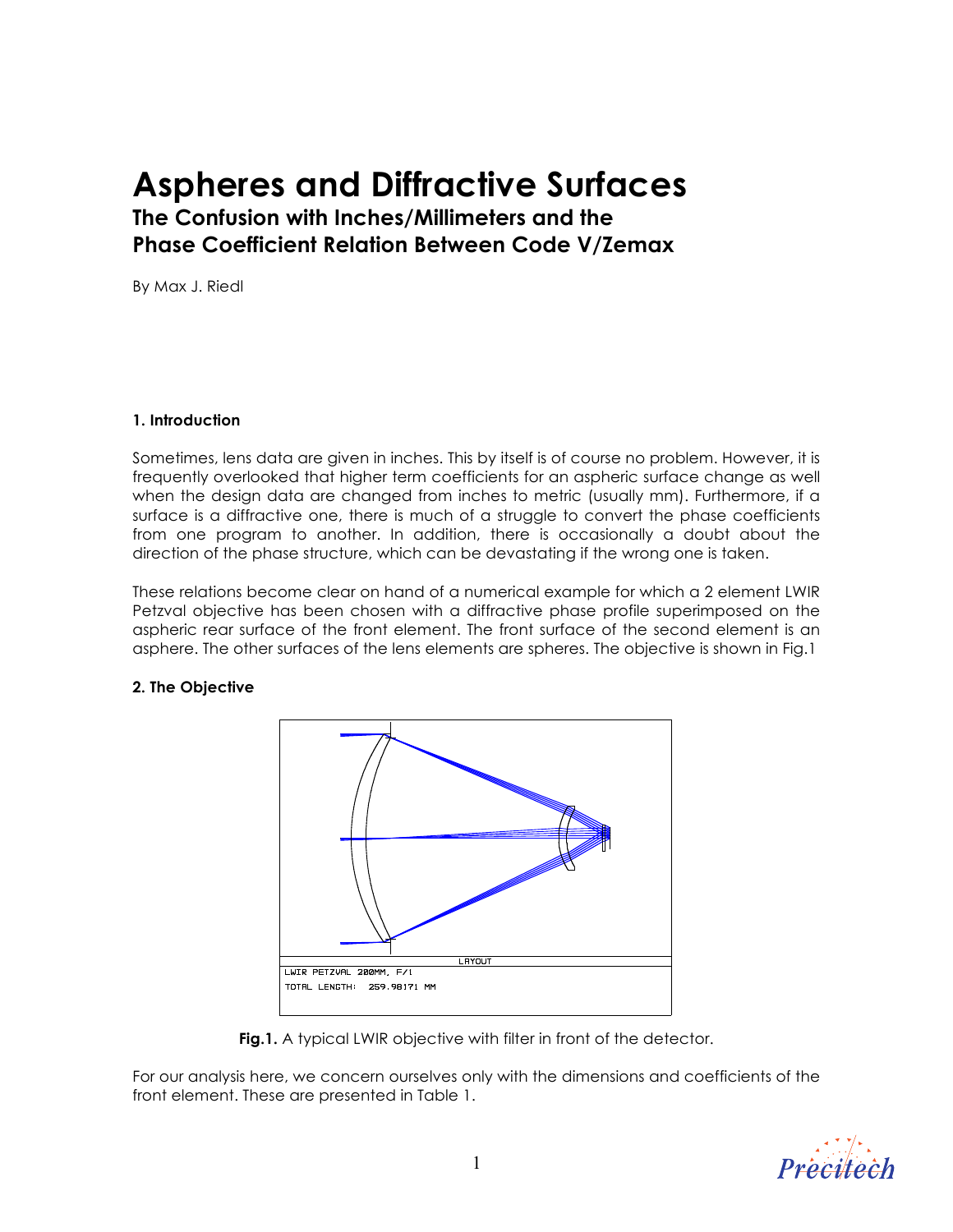## **Aspheres and Diffractive Surfaces**

**The Confusion with Inches/Millimeters and the Phase Coefficient Relation Between Code V/Zemax**

By Max J. Riedl

## **1. Introduction**

Sometimes, lens data are given in inches. This by itself is of course no problem. However, it is frequently overlooked that higher term coefficients for an aspheric surface change as well when the design data are changed from inches to metric (usually mm). Furthermore, if a surface is a diffractive one, there is much of a struggle to convert the phase coefficients from one program to another. In addition, there is occasionally a doubt about the direction of the phase structure, which can be devastating if the wrong one is taken.

These relations become clear on hand of a numerical example for which a 2 element LWIR Petzval objective has been chosen with a diffractive phase profile superimposed on the aspheric rear surface of the front element. The front surface of the second element is an asphere. The other surfaces of the lens elements are spheres. The objective is shown in Fig.1

## **2. The Objective**



**Fig.1.** A typical LWIR objective with filter in front of the detector.

For our analysis here, we concern ourselves only with the dimensions and coefficients of the front element. These are presented in Table 1.

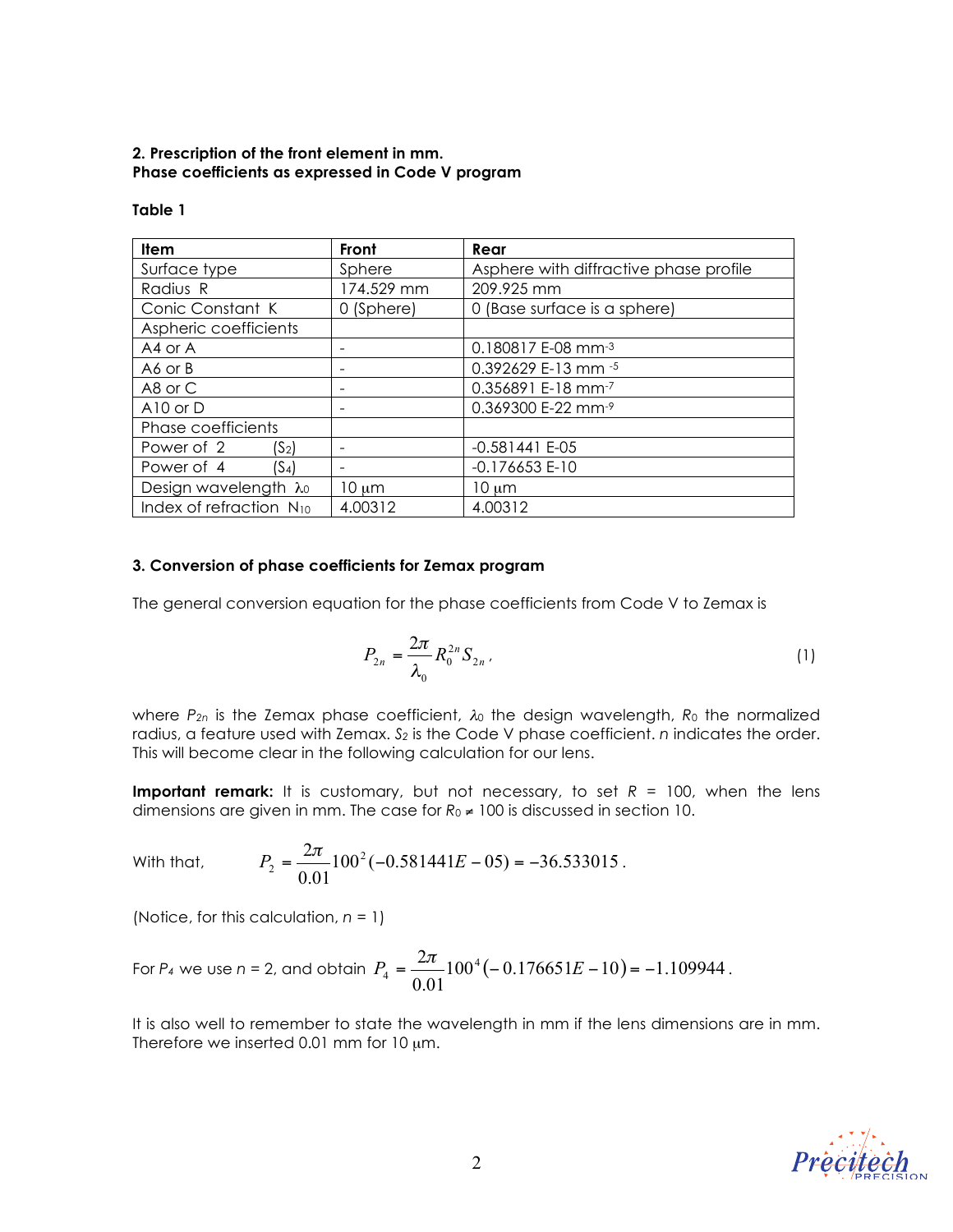## **2. Prescription of the front element in mm. Phase coefficients as expressed in Code V program**

| <b>Item</b>                         | Front      | Rear                                   |  |
|-------------------------------------|------------|----------------------------------------|--|
| Surface type                        | Sphere     | Asphere with diffractive phase profile |  |
| Radius R                            | 174.529 mm | 209.925 mm                             |  |
| Conic Constant K                    | 0 (Sphere) | 0 (Base surface is a sphere)           |  |
| Aspheric coefficients               |            |                                        |  |
| A4 or A                             |            | 0.180817 E-08 mm-3                     |  |
| A6 or B                             |            | 0.392629 E-13 mm -5                    |  |
| A8 or C                             | -          | 0.356891 E-18 mm-7                     |  |
| A10 or D                            |            | 0.369300 E-22 mm-9                     |  |
| Phase coefficients                  |            |                                        |  |
| Power of 2<br>(S <sub>2</sub> )     |            | $-0.581441 E-05$                       |  |
| Power of 4<br>$(S_4)$               | ۰          | $-0.176653E-10$                        |  |
| Design wavelength λο                | $10 \mu m$ | $10 \mu m$                             |  |
| Index of refraction N <sub>10</sub> | 4.00312    | 4.00312                                |  |

## **Table 1**

## **3. Conversion of phase coefficients for Zemax program**

The general conversion equation for the phase coefficients from Code V to Zemax is

$$
P_{2n} = \frac{2\pi}{\lambda_0} R_0^{2n} S_{2n} \, . \tag{1}
$$

where *P<sub>2n</sub>* is the Zemax phase coefficient, *λ*<sub>0</sub> the design wavelength, *R*<sub>0</sub> the normalized radius, a feature used with Zemax. *S2* is the Code V phase coefficient. *n* indicates the order. This will become clear in the following calculation for our lens.

**Important remark:** It is customary, but not necessary, to set  $R = 100$ , when the lens dimensions are given in mm. The case for  $R_0 \neq 100$  is discussed in section 10.

With that,  $P_2 = \frac{2N}{\pi} 100^2 (-0.581441E - 0.5) = -36.533015$ 0.01  $P_2 = \frac{2\pi}{8.01} 100^2 (-0.581441E - 0.5) = -36.533015$ .

(Notice, for this calculation, *n* = 1)

For 
$$
P_4
$$
 we use  $n = 2$ , and obtain  $P_4 = \frac{2\pi}{0.01} 100^4 (-0.176651E - 10) = -1.109944$ .

It is also well to remember to state the wavelength in mm if the lens dimensions are in mm. Therefore we inserted 0.01 mm for 10  $\mu$ m.

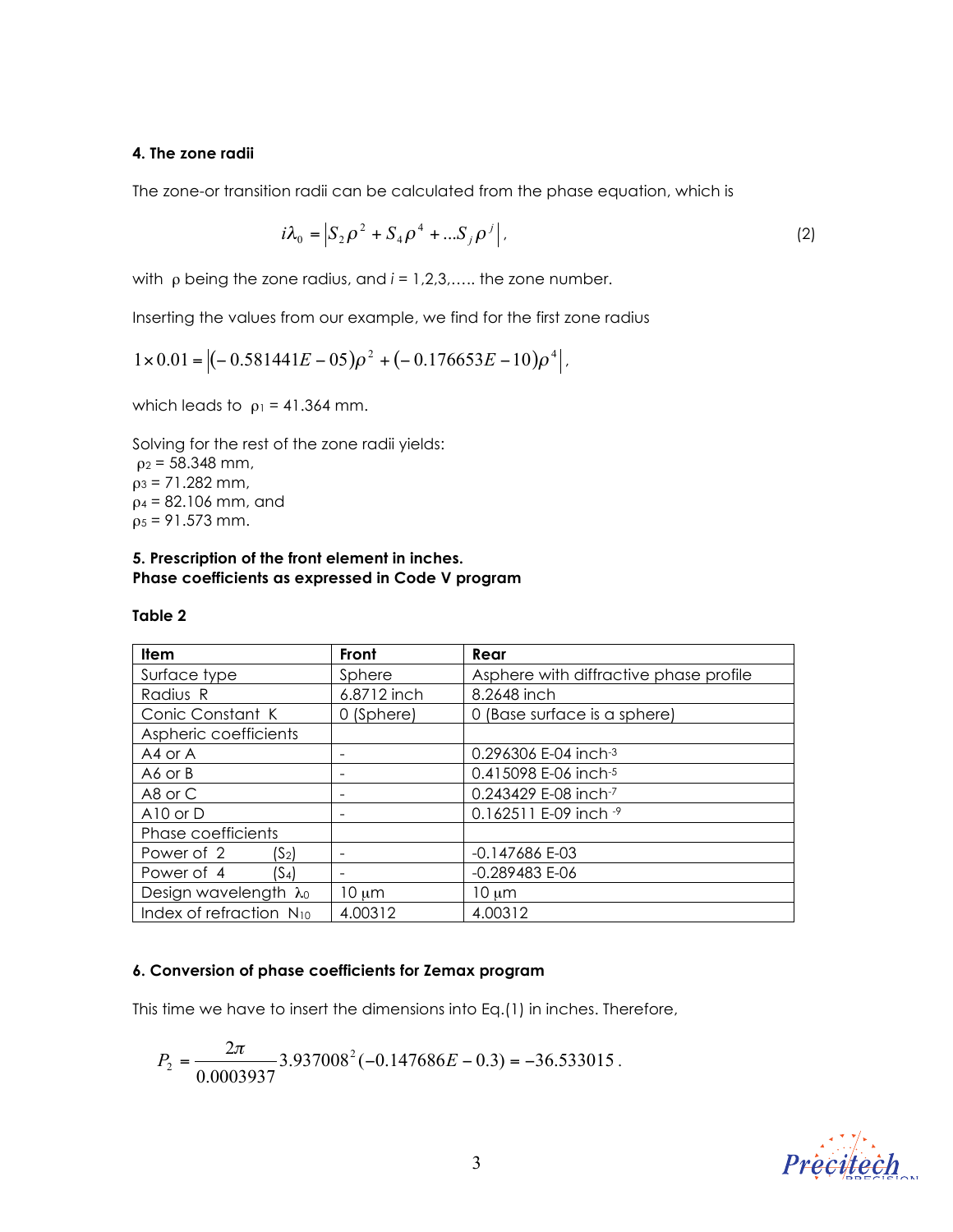#### **4. The zone radii**

The zone-or transition radii can be calculated from the phase equation, which is

$$
i\lambda_0 = \left| S_2 \rho^2 + S_4 \rho^4 + ... S_j \rho^j \right|,
$$
 (2)

with ρ being the zone radius, and *i* = 1,2,3,….. the zone number.

Inserting the values from our example, we find for the first zone radius

$$
1 \times 0.01 = \left| (-0.581441E - 05)\rho^2 + (-0.176653E - 10)\rho^4 \right|.
$$

which leads to  $\rho_1 = 41.364$  mm.

Solving for the rest of the zone radii yields:  $p_2 = 58.348$  mm,  $p_3 = 71.282$  mm,  $p_4 = 82.106$  mm, and  $p_5 = 91.573$  mm.

#### **5. Prescription of the front element in inches. Phase coefficients as expressed in Code V program**

| <b>Item</b>                  | Front       | Rear                                   |  |
|------------------------------|-------------|----------------------------------------|--|
| Surface type                 | Sphere      | Asphere with diffractive phase profile |  |
| Radius R                     | 6.8712 inch | 8.2648 inch                            |  |
| Conic Constant K             | 0 (Sphere)  | 0 (Base surface is a sphere)           |  |
| Aspheric coefficients        |             |                                        |  |
| A4 or A                      |             | 0.296306 E-04 inch-3                   |  |
| A6 or B                      |             | 0.415098 E-06 inch-5                   |  |
| A8 or C                      |             | 0.243429 E-08 inch-7                   |  |
| A10 or $D$                   |             | 0.162511 E-09 inch -9                  |  |
| Phase coefficients           |             |                                        |  |
| Power of 2<br>$(S_2)$        |             | -0.147686 E-03                         |  |
| Power of 4<br>(S4)           |             | $-0.289483 E-06$                       |  |
| Design wavelength λο         | $10 \mu m$  | $10 \mu m$                             |  |
| Index of refraction $N_{10}$ | 4.00312     | 4.00312                                |  |

## **Table 2**

#### **6. Conversion of phase coefficients for Zemax program**

This time we have to insert the dimensions into Eq.(1) in inches. Therefore,

$$
P_2 = \frac{2\pi}{0.0003937} 3.937008^2 (-0.147686E - 0.3) = -36.533015.
$$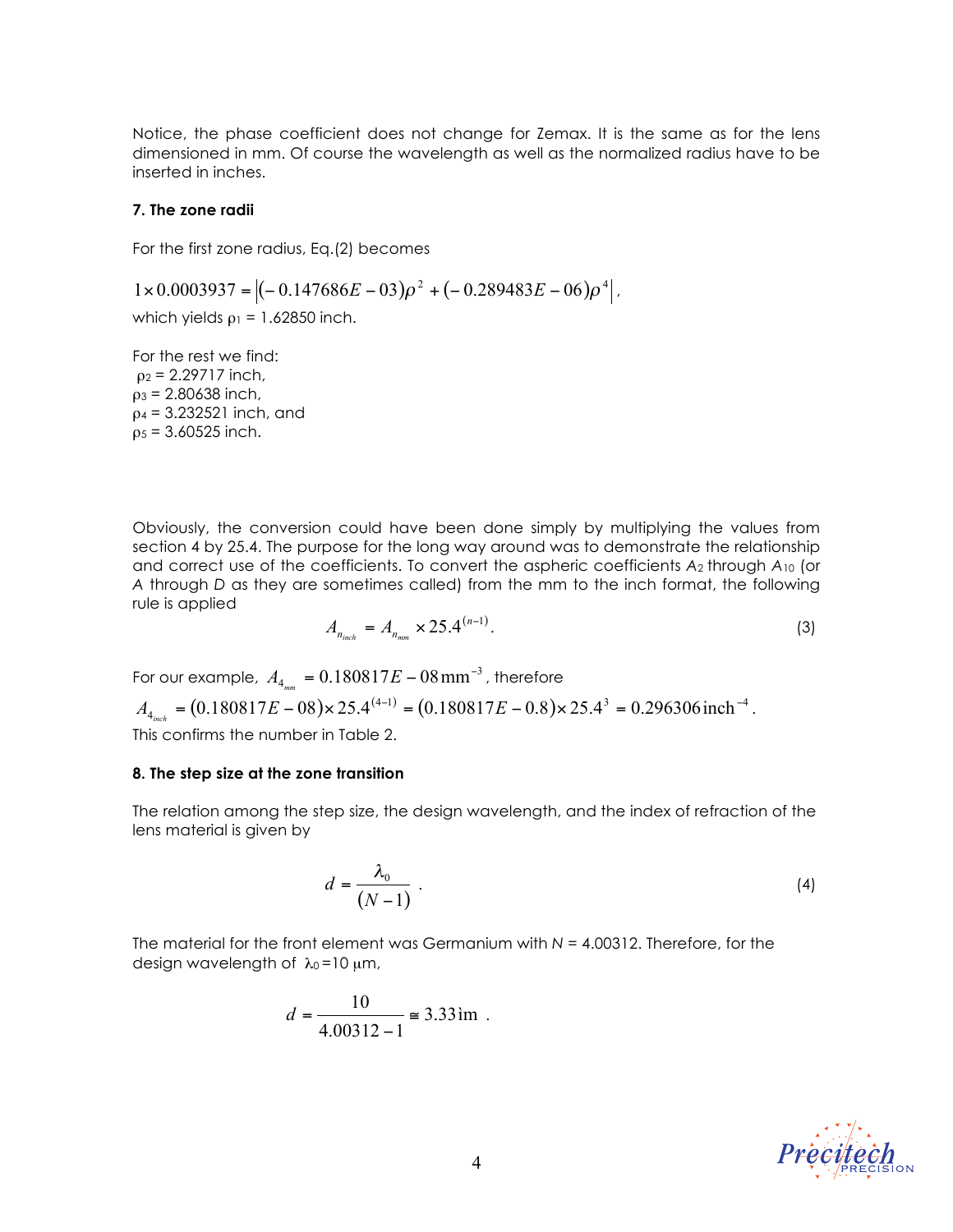Notice, the phase coefficient does not change for Zemax. It is the same as for the lens dimensioned in mm. Of course the wavelength as well as the normalized radius have to be inserted in inches.

#### **7. The zone radii**

For the first zone radius, Eq.(2) becomes

 $1 \times 0.0003937 = \left| (-0.147686E - 03)\rho^2 + (-0.289483E - 06)\rho^4 \right|$ 

which yields  $\rho_1 = 1.62850$  inch.

For the rest we find:  $\rho_2$  = 2.29717 inch,  $ρ_3 = 2.80638$  inch,  $p_4$  = 3.232521 inch, and  $p_5 = 3.60525$  inch.

Obviously, the conversion could have been done simply by multiplying the values from section 4 by 25.4. The purpose for the long way around was to demonstrate the relationship and correct use of the coefficients. To convert the aspheric coefficients *A*2 through *A*<sup>10</sup> (or *A* through *D* as they are sometimes called) from the mm to the inch format, the following rule is applied

$$
A_{n_{\text{inch}}} = A_{n_{\text{mm}}} \times 25.4^{(n-1)}.
$$
 (3)

For our example,  $A_{\scriptscriptstyle 4_{nm}}$  =  $0.180817 E$  –  $08\,\rm mm^{-3}$  , therefore

 $A_{4_{inch}} = (0.180817E - 08) \times 25.4^{(4-1)} = (0.180817E - 0.8) \times 25.4^3 = 0.296306$  inch<sup>-4</sup>.

This confirms the number in Table 2.

#### **8. The step size at the zone transition**

The relation among the step size, the design wavelength, and the index of refraction of the lens material is given by

$$
d = \frac{\lambda_0}{(N-1)} \tag{4}
$$

The material for the front element was Germanium with *N* = 4.00312. Therefore, for the design wavelength of  $\lambda_0 = 10 \mu m$ ,

$$
d = \frac{10}{4.00312 - 1} \approx 3.33 \text{ im}
$$

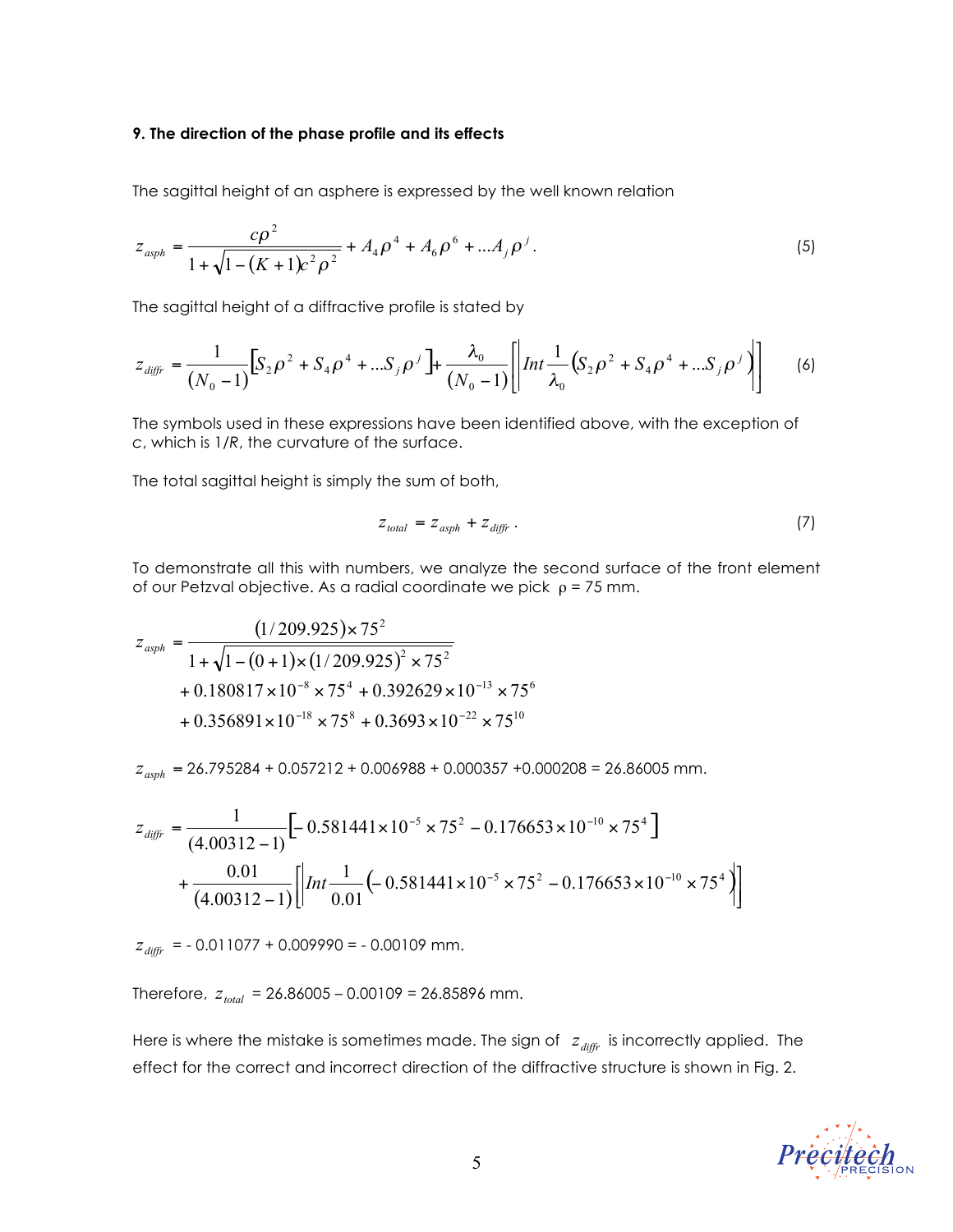#### **9. The direction of the phase profile and its effects**

The sagittal height of an asphere is expressed by the well known relation

$$
z_{\rm asph} = \frac{c\rho^2}{1 + \sqrt{1 - (K + 1)c^2\rho^2}} + A_4\rho^4 + A_6\rho^6 + ... A_j\rho^j.
$$
\n(5)

The sagittal height of a diffractive profile is stated by

$$
z_{diff} = \frac{1}{(N_0 - 1)} \Big[ S_2 \rho^2 + S_4 \rho^4 + ... S_j \rho^j \Big] + \frac{\lambda_0}{(N_0 - 1)} \Bigg[ \Big| Int \frac{1}{\lambda_0} \Big( S_2 \rho^2 + S_4 \rho^4 + ... S_j \rho^j \Big) \Bigg] \tag{6}
$$

The symbols used in these expressions have been identified above, with the exception of *c*, which is 1/*R*, the curvature of the surface.

The total sagittal height is simply the sum of both,

$$
Z_{total} = Z_{asph} + Z_{diffr} \tag{7}
$$

To demonstrate all this with numbers, we analyze the second surface of the front element of our Petzval objective. As a radial coordinate we pick  $\rho = 75$  mm.

$$
z_{\alpha sph} = \frac{(1/209.925) \times 75^2}{1 + \sqrt{1 - (0 + 1) \times (1/209.925)^2 \times 75^2}}
$$
  
+ 0.180817 × 10<sup>-8</sup> × 75<sup>4</sup> + 0.392629 × 10<sup>-13</sup> × 75<sup>6</sup>  
+ 0.356891 × 10<sup>-18</sup> × 75<sup>8</sup> + 0.3693 × 10<sup>-22</sup> × 75<sup>10</sup>

 $z_{asph}$  = 26.795284 + 0.057212 + 0.006988 + 0.000357 +0.000208 = 26.86005 mm.

$$
z_{diff} = \frac{1}{(4.00312 - 1)} \Big[ -0.581441 \times 10^{-5} \times 75^2 - 0.176653 \times 10^{-10} \times 75^4 \Big] + \frac{0.01}{(4.00312 - 1)} \Big[ \Big| Int \frac{1}{0.01} \Big( -0.581441 \times 10^{-5} \times 75^2 - 0.176653 \times 10^{-10} \times 75^4 \Big) \Big]
$$

 $z_{diffr}$  = -0.011077 + 0.009990 = -0.00109 mm.

Therefore,  $z_{total}$  = 26.86005 – 0.00109 = 26.85896 mm.

Here is where the mistake is sometimes made. The sign of  $z_{\text{diff}r}$  is incorrectly applied. The effect for the correct and incorrect direction of the diffractive structure is shown in Fig. 2.

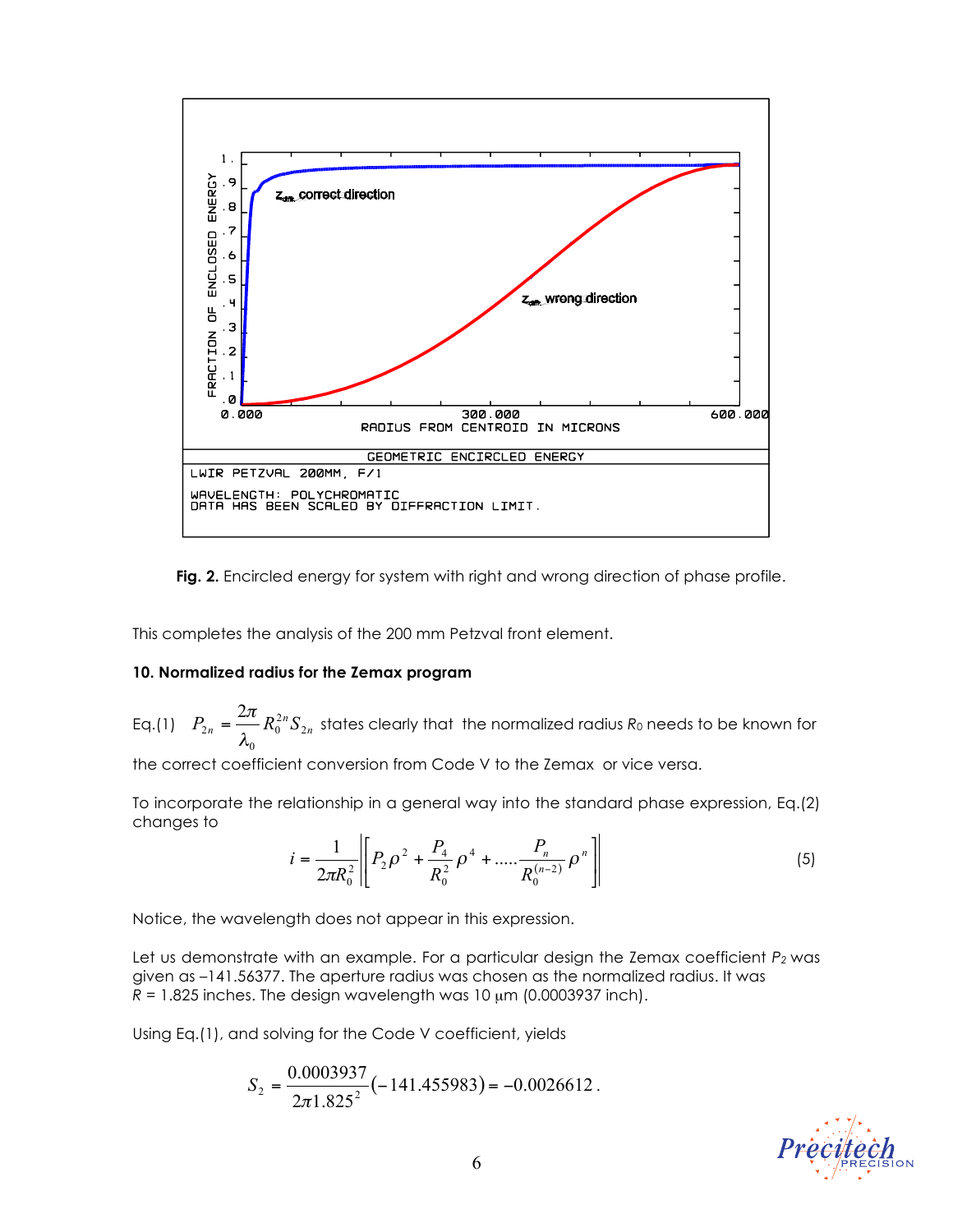

**Fig. 2.** Encircled energy for system with right and wrong direction of phase profile.

This completes the analysis of the 200 mm Petzval front element.

#### **10. Normalized radius for the Zemax program**

Eq.(1)  $P_{2n} = \frac{2\pi}{2} R_0^{2n} S_{2n}$ 0 0 2 2  $=\frac{2\pi}{\lambda_0}R_0^{2n}S_{2n}$  states clearly that the normalized radius  $R_0$  needs to be known for

the correct coefficient conversion from Code V to the Zemax or vice versa.

To incorporate the relationship in a general way into the standard phase expression, Eq.(2) changes to

$$
i = \frac{1}{2\pi R_0^2} \left[ P_2 \rho^2 + \frac{P_4}{R_0^2} \rho^4 + \dots + \frac{P_n}{R_0^{(n-2)}} \rho^n \right]
$$
 (5)

Notice, the wavelength does not appear in this expression.

Let us demonstrate with an example. For a particular design the Zemax coefficient  $P_2$  was given as –141.56377. The aperture radius was chosen as the normalized radius. It was  $R = 1.825$  inches. The design wavelength was  $10 \mu m$  (0.0003937 inch).

Using Eq.(1), and solving for the Code V coefficient, yields

$$
S_2 = \frac{0.0003937}{2\pi 1.825^2} (-141.455983) = -0.0026612.
$$